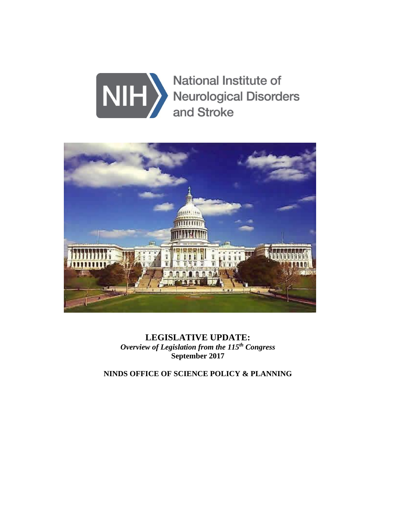



**LEGISLATIVE UPDATE:** *Overview of Legislation from the 115th Congress*  **September 2017**

**NINDS OFFICE OF SCIENCE POLICY & PLANNING**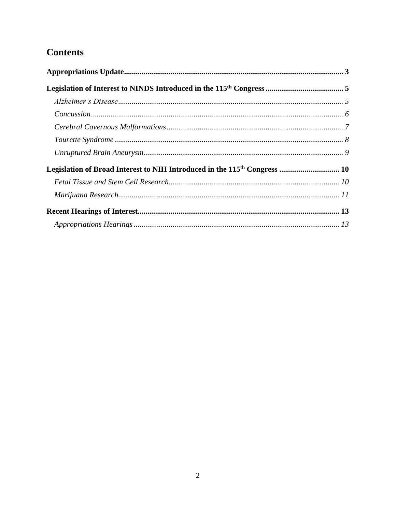# **Contents**

| Legislation of Broad Interest to NIH Introduced in the 115 <sup>th</sup> Congress  10 |  |
|---------------------------------------------------------------------------------------|--|
|                                                                                       |  |
|                                                                                       |  |
|                                                                                       |  |
|                                                                                       |  |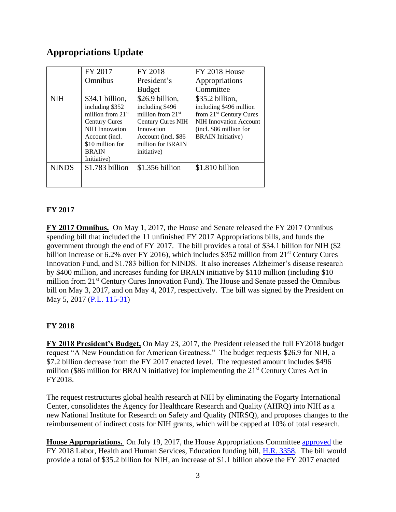# <span id="page-2-0"></span>**Appropriations Update**

|              | FY 2017                                                                                                                                                                         | FY 2018                                                                                                                                                        | FY 2018 House                                                                                                                                                             |
|--------------|---------------------------------------------------------------------------------------------------------------------------------------------------------------------------------|----------------------------------------------------------------------------------------------------------------------------------------------------------------|---------------------------------------------------------------------------------------------------------------------------------------------------------------------------|
|              | Omnibus                                                                                                                                                                         | President's                                                                                                                                                    | Appropriations                                                                                                                                                            |
|              |                                                                                                                                                                                 | <b>Budget</b>                                                                                                                                                  | Committee                                                                                                                                                                 |
| <b>NIH</b>   | \$34.1 billion,<br>including \$352<br>million from $21st$<br><b>Century Cures</b><br><b>NIH</b> Innovation<br>Account (incl.<br>\$10 million for<br><b>BRAIN</b><br>Initiative) | \$26.9 billion,<br>including \$496<br>million from $21st$<br><b>Century Cures NIH</b><br>Innovation<br>Account (incl. \$86<br>million for BRAIN<br>initiative) | \$35.2 billion,<br>including \$496 million<br>from 21 <sup>st</sup> Century Cures<br><b>NIH Innovation Account</b><br>(incl. \$86 million for<br><b>BRAIN</b> Initiative) |
| <b>NINDS</b> | \$1.783 billion                                                                                                                                                                 | \$1.356 billion                                                                                                                                                | \$1.810 billion                                                                                                                                                           |

### **FY 2017**

**FY 2017 Omnibus.** On May 1, 2017, the House and Senate released the FY 2017 Omnibus spending bill that included the 11 unfinished FY 2017 Appropriations bills, and funds the government through the end of FY 2017. The bill provides a total of \$34.1 billion for NIH (\$2 billion increase or 6.2% over FY 2016), which includes \$352 million from 21<sup>st</sup> Century Cures Innovation Fund, and \$1.783 billion for NINDS. It also increases Alzheimer's disease research by \$400 million, and increases funding for BRAIN initiative by \$110 million (including \$10 million from 21<sup>st</sup> Century Cures Innovation Fund). The House and Senate passed the Omnibus bill on May 3, 2017, and on May 4, 2017, respectively. The bill was signed by the President on May 5, 2017 [\(P.L. 115-31\)](https://www.congress.gov/bill/115th-congress/house-bill/244/text)

### **FY 2018**

**FY 2018 President's Budget,** On May 23, 2017, the President released the full FY2018 budget request "A New Foundation for American Greatness." The budget requests \$26.9 for NIH, a \$7.2 billion decrease from the FY 2017 enacted level. The requested amount includes \$496 million (\$86 million for BRAIN initiative) for implementing the  $21<sup>st</sup>$  Century Cures Act in FY2018.

The request restructures global health research at NIH by eliminating the Fogarty International Center, consolidates the Agency for Healthcare Research and Quality (AHRQ) into NIH as a new National Institute for Research on Safety and Quality (NIRSQ), and proposes changes to the reimbursement of indirect costs for NIH grants, which will be capped at 10% of total research.

**House Appropriations.** On July 19, 2017, the House Appropriations Committee [approved](https://appropriations.house.gov/news/documentsingle.aspx?DocumentID=395026) the FY 2018 Labor, Health and Human Services, Education funding bill, [H.R. 3358.](https://www.congress.gov/bill/115th-congress/house-bill/3358/text?format=txt) The bill would provide a total of \$35.2 billion for NIH, an increase of \$1.1 billion above the FY 2017 enacted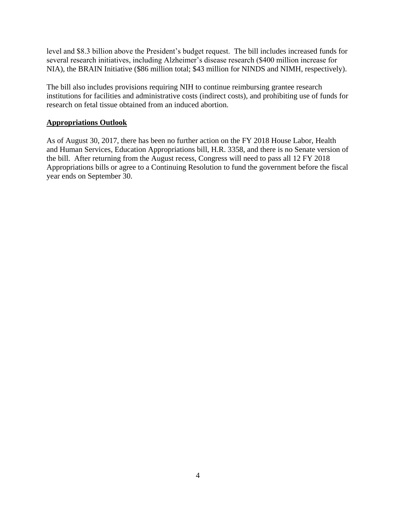level and \$8.3 billion above the President's budget request. The bill includes increased funds for several research initiatives, including Alzheimer's disease research (\$400 million increase for NIA), the BRAIN Initiative (\$86 million total; \$43 million for NINDS and NIMH, respectively).

The bill also includes provisions requiring NIH to continue reimbursing grantee research institutions for facilities and administrative costs (indirect costs), and prohibiting use of funds for research on fetal tissue obtained from an induced abortion.

#### **Appropriations Outlook**

As of August 30, 2017, there has been no further action on the FY 2018 House Labor, Health and Human Services, Education Appropriations bill, H.R. 3358, and there is no Senate version of the bill. After returning from the August recess, Congress will need to pass all 12 FY 2018 Appropriations bills or agree to a Continuing Resolution to fund the government before the fiscal year ends on September 30.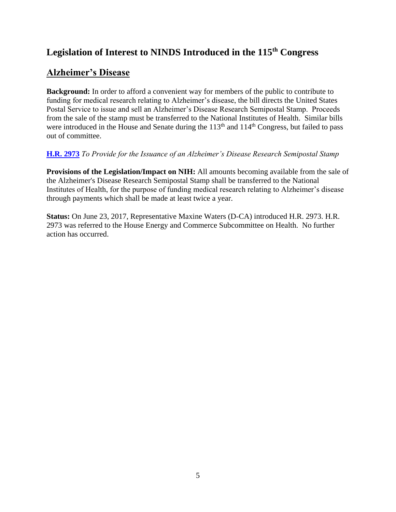# <span id="page-4-0"></span>**Legislation of Interest to NINDS Introduced in the 115th Congress**

# <span id="page-4-1"></span>**Alzheimer's Disease**

**Background:** In order to afford a convenient way for members of the public to contribute to funding for medical research relating to Alzheimer's disease, the bill directs the United States Postal Service to issue and sell an Alzheimer's Disease Research Semipostal Stamp. Proceeds from the sale of the stamp must be transferred to the National Institutes of Health. Similar bills were introduced in the House and Senate during the 113<sup>th</sup> and 114<sup>th</sup> Congress, but failed to pass out of committee.

### **[H.R. 2973](https://www.congress.gov/bill/115th-congress/house-bill/2973/text?format=txt)** *To Provide for the Issuance of an Alzheimer's Disease Research Semipostal Stamp*

**Provisions of the Legislation/Impact on NIH:** All amounts becoming available from the sale of the Alzheimer's Disease Research Semipostal Stamp shall be transferred to the National Institutes of Health, for the purpose of funding medical research relating to Alzheimer's disease through payments which shall be made at least twice a year.

**Status:** On June 23, 2017, Representative Maxine Waters (D-CA) introduced H.R. 2973. H.R. 2973 was referred to the House Energy and Commerce Subcommittee on Health. No further action has occurred.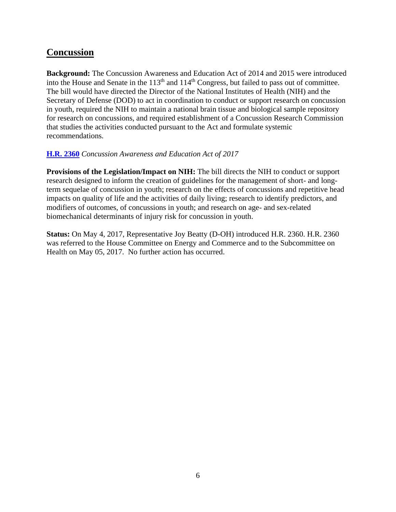### <span id="page-5-0"></span>**Concussion**

**Background:** The Concussion Awareness and Education Act of 2014 and 2015 were introduced into the House and Senate in the 113<sup>th</sup> and 114<sup>th</sup> Congress, but failed to pass out of committee. The bill would have directed the Director of the National Institutes of Health (NIH) and the Secretary of Defense (DOD) to act in coordination to conduct or support research on concussion in youth, required the NIH to maintain a national brain tissue and biological sample repository for research on concussions, and required establishment of a Concussion Research Commission that studies the activities conducted pursuant to the Act and formulate systemic recommendations.

### **[H.R. 2360](https://www.congress.gov/bill/115th-congress/house-bill/2360/text?format=txt)** *Concussion Awareness and Education Act of 2017*

**Provisions of the Legislation/Impact on NIH:** The bill directs the NIH to conduct or support research designed to inform the creation of guidelines for the management of short- and longterm sequelae of concussion in youth; research on the effects of concussions and repetitive head impacts on quality of life and the activities of daily living; research to identify predictors, and modifiers of outcomes, of concussions in youth; and research on age- and sex-related biomechanical determinants of injury risk for concussion in youth.

**Status:** On May 4, 2017, Representative Joy Beatty (D-OH) introduced H.R. 2360. H.R. 2360 was referred to the House Committee on Energy and Commerce and to the Subcommittee on Health on May 05, 2017. No further action has occurred.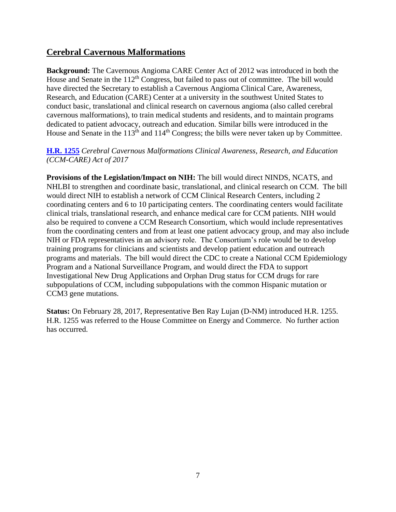### <span id="page-6-0"></span>**Cerebral Cavernous Malformations**

**Background:** The Cavernous Angioma CARE Center Act of 2012 was introduced in both the House and Senate in the  $112<sup>th</sup>$  Congress, but failed to pass out of committee. The bill would have directed the Secretary to establish a Cavernous Angioma Clinical Care, Awareness, Research, and Education (CARE) Center at a university in the southwest United States to conduct basic, translational and clinical research on cavernous angioma (also called cerebral cavernous malformations), to train medical students and residents, and to maintain programs dedicated to patient advocacy, outreach and education. Similar bills were introduced in the House and Senate in the  $113<sup>th</sup>$  and  $114<sup>th</sup>$  Congress; the bills were never taken up by Committee.

### **[H.R. 1255](https://www.congress.gov/bill/115th-congress/house-bill/1255/text)** *Cerebral Cavernous Malformations Clinical Awareness, Research, and Education (CCM-CARE) Act of 2017*

**Provisions of the Legislation/Impact on NIH:** The bill would direct NINDS, NCATS, and NHLBI to strengthen and coordinate basic, translational, and clinical research on CCM. The bill would direct NIH to establish a network of CCM Clinical Research Centers, including 2 coordinating centers and 6 to 10 participating centers. The coordinating centers would facilitate clinical trials, translational research, and enhance medical care for CCM patients. NIH would also be required to convene a CCM Research Consortium, which would include representatives from the coordinating centers and from at least one patient advocacy group, and may also include NIH or FDA representatives in an advisory role. The Consortium's role would be to develop training programs for clinicians and scientists and develop patient education and outreach programs and materials. The bill would direct the CDC to create a National CCM Epidemiology Program and a National Surveillance Program, and would direct the FDA to support Investigational New Drug Applications and Orphan Drug status for CCM drugs for rare subpopulations of CCM, including subpopulations with the common Hispanic mutation or CCM3 gene mutations.

**Status:** On February 28, 2017, Representative Ben Ray Lujan (D-NM) introduced H.R. 1255. H.R. 1255 was referred to the House Committee on Energy and Commerce. No further action has occurred.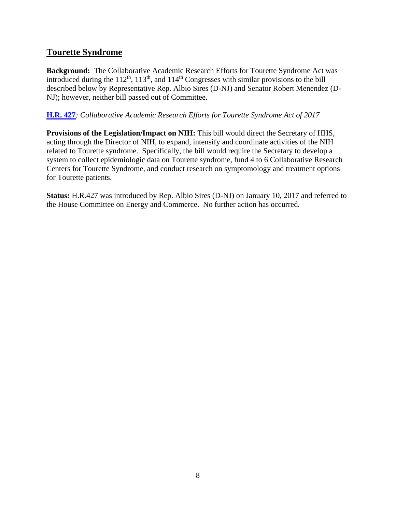### <span id="page-7-0"></span>**Tourette Syndrome**

**Background:** The Collaborative Academic Research Efforts for Tourette Syndrome Act was introduced during the  $112<sup>th</sup>$ ,  $113<sup>th</sup>$ , and  $114<sup>th</sup>$  Congresses with similar provisions to the bill described below by Representative Rep. Albio Sires (D-NJ) and Senator Robert Menendez (D-NJ); however, neither bill passed out of Committee.

### **[H.R. 427](https://www.congress.gov/bill/115th-congress/house-bill/427?q=%7B%22search%22%3A%5B%22HR+427%22%5D%7D&r=1)***: Collaborative Academic Research Efforts for Tourette Syndrome Act of 2017*

**Provisions of the Legislation/Impact on NIH:** This bill would direct the Secretary of HHS, acting through the Director of NIH, to expand, intensify and coordinate activities of the NIH related to Tourette syndrome. Specifically, the bill would require the Secretary to develop a system to collect epidemiologic data on Tourette syndrome, fund 4 to 6 Collaborative Research Centers for Tourette Syndrome, and conduct research on symptomology and treatment options for Tourette patients.

**Status:** H.R.427 was introduced by Rep. Albio Sires (D-NJ) on January 10, 2017 and referred to the House Committee on Energy and Commerce. No further action has occurred.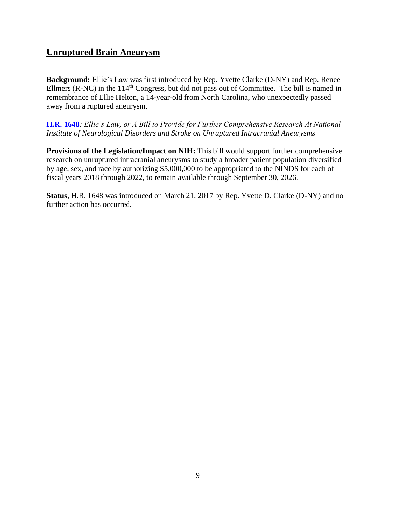### <span id="page-8-0"></span>**Unruptured Brain Aneurysm**

**Background:** Ellie's Law was first introduced by Rep. Yvette Clarke (D-NY) and Rep. Renee Ellmers (R-NC) in the 114<sup>th</sup> Congress, but did not pass out of Committee. The bill is named in remembrance of Ellie Helton, a 14-year-old from North Carolina, who unexpectedly passed away from a ruptured aneurysm.

**[H.R. 1648](https://www.congress.gov/bill/115th-congress/house-bill/1648/text)***: Ellie's Law, or A Bill to Provide for Further Comprehensive Research At National Institute of Neurological Disorders and Stroke on Unruptured Intracranial Aneurysms*

**Provisions of the Legislation/Impact on NIH:** This bill would support further comprehensive research on unruptured intracranial aneurysms to study a broader patient population diversified by age, sex, and race by authorizing \$5,000,000 to be appropriated to the NINDS for each of fiscal years 2018 through 2022, to remain available through September 30, 2026.

**Status**, H.R. 1648 was introduced on March 21, 2017 by Rep. Yvette D. Clarke (D-NY) and no further action has occurred.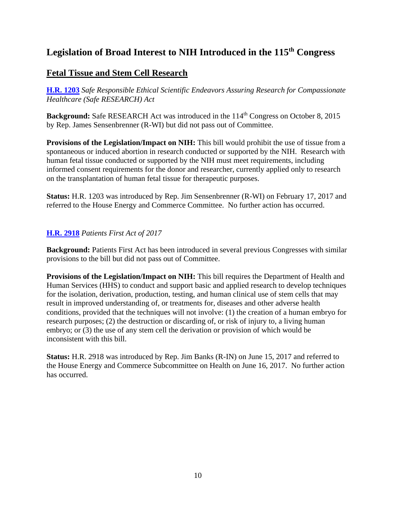# <span id="page-9-0"></span>**Legislation of Broad Interest to NIH Introduced in the 115th Congress**

### <span id="page-9-1"></span>**Fetal Tissue and Stem Cell Research**

**[H.R. 1203](https://www.congress.gov/bill/115th-congress/house-bill/1203?q=%7B%22search%22%3A%5B%22HR+1203%22%5D%7D&r=1)** *Safe Responsible Ethical Scientific Endeavors Assuring Research for Compassionate Healthcare (Safe RESEARCH) Act*

**Background:** Safe RESEARCH Act was introduced in the 114<sup>th</sup> Congress on October 8, 2015 by Rep. James Sensenbrenner (R-WI) but did not pass out of Committee.

**Provisions of the Legislation/Impact on NIH:** This bill would prohibit the use of tissue from a spontaneous or induced abortion in research conducted or supported by the NIH. Research with human fetal tissue conducted or supported by the NIH must meet requirements, including informed consent requirements for the donor and researcher, currently applied only to research on the transplantation of human fetal tissue for therapeutic purposes.

**Status:** H.R. 1203 was introduced by Rep. Jim Sensenbrenner (R-WI) on February 17, 2017 and referred to the House Energy and Commerce Committee. No further action has occurred.

### **[H.R. 2918](https://www.congress.gov/bill/115th-congress/house-bill/2918/text?format=txt)** *Patients First Act of 2017*

**Background:** Patients First Act has been introduced in several previous Congresses with similar provisions to the bill but did not pass out of Committee.

**Provisions of the Legislation/Impact on NIH:** This bill requires the Department of Health and Human Services (HHS) to conduct and support basic and applied research to develop techniques for the isolation, derivation, production, testing, and human clinical use of stem cells that may result in improved understanding of, or treatments for, diseases and other adverse health conditions, provided that the techniques will not involve: (1) the creation of a human embryo for research purposes; (2) the destruction or discarding of, or risk of injury to, a living human embryo; or (3) the use of any stem cell the derivation or provision of which would be inconsistent with this bill.

**Status:** H.R. 2918 was introduced by Rep. Jim Banks (R-IN) on June 15, 2017 and referred to the House Energy and Commerce Subcommittee on Health on June 16, 2017. No further action has occurred.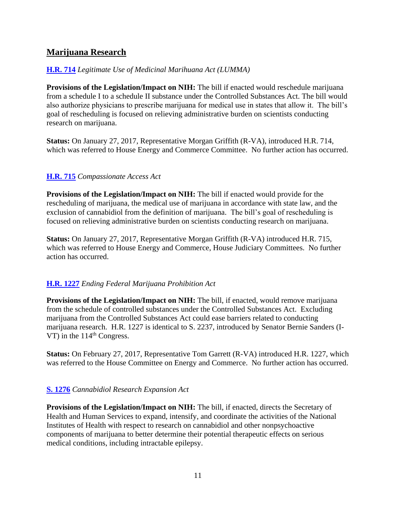### <span id="page-10-0"></span>**Marijuana Research**

### **[H.R.](https://www.congress.gov/bill/115th-congress/house-bill/714/text?q=%7B%22search%22%3A%5B%22HR714%22%5D%7D&r=1) 714** *Legitimate Use of Medicinal Marihuana Act (LUMMA)*

**Provisions of the Legislation/Impact on NIH:** The bill if enacted would reschedule marijuana from a schedule I to a schedule II substance under the Controlled Substances Act. The bill would also authorize physicians to prescribe marijuana for medical use in states that allow it. The bill's goal of rescheduling is focused on relieving administrative burden on scientists conducting research on marijuana.

**Status:** On January 27, 2017, Representative Morgan Griffith (R-VA), introduced H.R. 714, which was referred to House Energy and Commerce Committee. No further action has occurred.

### **[H.R.](https://www.congress.gov/bill/115th-congress/house-bill/715/text?q=%7B%22search%22%3A%5B%22HR715%22%5D%7D&r=1) 715** *Compassionate Access Act*

**Provisions of the Legislation/Impact on NIH:** The bill if enacted would provide for the rescheduling of marijuana, the medical use of marijuana in accordance with state law, and the exclusion of cannabidiol from the definition of marijuana. The bill's goal of rescheduling is focused on relieving administrative burden on scientists conducting research on marijuana.

**Status:** On January 27, 2017, Representative Morgan Griffith (R-VA) introduced H.R. 715, which was referred to House Energy and Commerce, House Judiciary Committees. No further action has occurred.

### **[H.R. 1227](https://www.congress.gov/bill/115th-congress/house-bill/1227/text?q=%7B%22search%22%3A%5B%22HR1227%22%5D%7D&r=1)** *Ending Federal Marijuana Prohibition Act*

**Provisions of the Legislation/Impact on NIH:** The bill, if enacted, would remove marijuana from the schedule of controlled substances under the Controlled Substances Act. Excluding marijuana from the Controlled Substances Act could ease barriers related to conducting marijuana research. H.R. 1227 is identical to S. 2237, introduced by Senator Bernie Sanders (I-VT) in the  $114<sup>th</sup>$  Congress.

**Status:** On February 27, 2017, Representative Tom Garrett (R-VA) introduced H.R. 1227, which was referred to the House Committee on Energy and Commerce. No further action has occurred.

### **[S. 1276](https://www.congress.gov/bill/115th-congress/senate-bill/1276/text?format=txt)** *Cannabidiol Research Expansion Act*

**Provisions of the Legislation/Impact on NIH:** The bill, if enacted, directs the Secretary of Health and Human Services to expand, intensify, and coordinate the activities of the National Institutes of Health with respect to research on cannabidiol and other nonpsychoactive components of marijuana to better determine their potential therapeutic effects on serious medical conditions, including intractable epilepsy.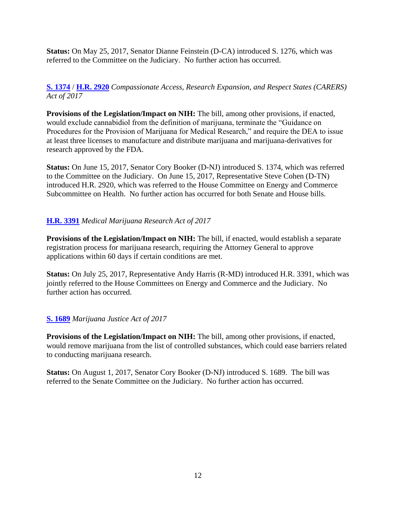**Status:** On May 25, 2017, Senator Dianne Feinstein (D-CA) introduced S. 1276, which was referred to the Committee on the Judiciary. No further action has occurred.

### **[S. 1374](https://www.congress.gov/bill/115th-congress/senate-bill/1374?q=%7B%22search%22%3A%5B%22Compassionate+Access+Research+Expansion%22%5D%7D&r=2)** / **[H.R. 2920](https://www.congress.gov/bill/115th-congress/house-bill/2920?q=%7B%22search%22%3A%5B%22Compassionate+Access+Research+Expansion%22%5D%7D&r=1)** *Compassionate Access, Research Expansion, and Respect States (CARERS) Act of 2017*

**Provisions of the Legislation/Impact on NIH:** The bill, among other provisions, if enacted, would exclude cannabidiol from the definition of marijuana, terminate the "Guidance on Procedures for the Provision of Marijuana for Medical Research," and require the DEA to issue at least three licenses to manufacture and distribute marijuana and marijuana-derivatives for research approved by the FDA.

**Status:** On June 15, 2017, Senator Cory Booker (D-NJ) introduced S. 1374, which was referred to the Committee on the Judiciary. On June 15, 2017, Representative Steve Cohen (D-TN) introduced H.R. 2920, which was referred to the House Committee on Energy and Commerce Subcommittee on Health. No further action has occurred for both Senate and House bills.

### **[H.R. 3391](https://www.congress.gov/bill/115th-congress/house-bill/3391/text?q=%7B%22search%22%3A%5B%22hr+3391%22%5D%7D&r=1)** *Medical Marijuana Research Act of 2017*

**Provisions of the Legislation/Impact on NIH:** The bill, if enacted, would establish a separate registration process for marijuana research, requiring the Attorney General to approve applications within 60 days if certain conditions are met.

**Status:** On July 25, 2017, Representative Andy Harris (R-MD) introduced H.R. 3391, which was jointly referred to the House Committees on Energy and Commerce and the Judiciary. No further action has occurred.

### **[S. 1689](https://www.congress.gov/bill/115th-congress/senate-bill/1689?q=%7B%22search%22%3A%5B%22S.+1689%22%5D%7D&r=1)** *Marijuana Justice Act of 2017*

**Provisions of the Legislation/Impact on NIH:** The bill, among other provisions, if enacted, would remove marijuana from the list of controlled substances, which could ease barriers related to conducting marijuana research.

**Status:** On August 1, 2017, Senator Cory Booker (D-NJ) introduced S. 1689. The bill was referred to the Senate Committee on the Judiciary. No further action has occurred.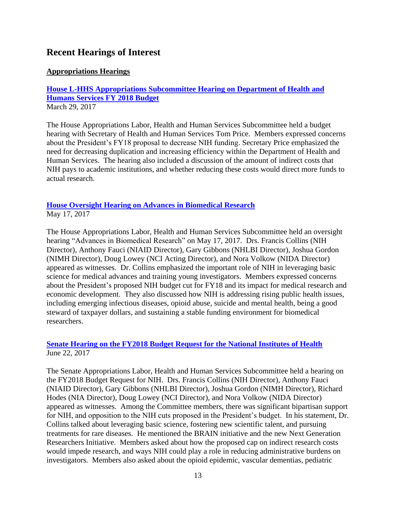## <span id="page-12-0"></span>**Recent Hearings of Interest**

### <span id="page-12-1"></span>**Appropriations Hearings**

**[House L-HHS Appropriations Subcommittee Hearing on Department of Health and](http://appropriations.house.gov/videos/?VideoID=q6tQyxcks60)  [Humans Services FY 2018 Budget](http://appropriations.house.gov/videos/?VideoID=q6tQyxcks60)** March 29, 2017

The House Appropriations Labor, Health and Human Services Subcommittee held a budget hearing with Secretary of Health and Human Services Tom Price. Members expressed concerns about the President's FY18 proposal to decrease NIH funding. Secretary Price emphasized the need for decreasing duplication and increasing efficiency within the Department of Health and Human Services. The hearing also included a discussion of the amount of indirect costs that NIH pays to academic institutions, and whether reducing these costs would direct more funds to actual research.

#### **[House Oversight Hearing on Advances in Biomedical Research](https://appropriations.house.gov/calendar/eventsingle.aspx?EventID=394868)** May 17, 2017

The House Appropriations Labor, Health and Human Services Subcommittee held an oversight hearing "Advances in Biomedical Research" on May 17, 2017. Drs. Francis Collins (NIH Director), Anthony Fauci (NIAID Director), Gary Gibbons (NHLBI Director), Joshua Gordon (NIMH Director), Doug Lowey (NCI Acting Director), and Nora Volkow (NIDA Director) appeared as witnesses. Dr. Collins emphasized the important role of NIH in leveraging basic science for medical advances and training young investigators. Members expressed concerns

about the President's proposed NIH budget cut for FY18 and its impact for medical research and economic development. They also discussed how NIH is addressing rising public health issues, including emerging infectious diseases, opioid abuse, suicide and mental health, being a good steward of taxpayer dollars, and sustaining a stable funding environment for biomedical researchers.

### **[Senate Hearing on the FY2018 Budget Request for the National Institutes of Health](https://www.appropriations.senate.gov/hearings/hearing-to-review-the-fy2018-budget-request-for-the-national-institutes-of-health)** June 22, 2017

The Senate Appropriations Labor, Health and Human Services Subcommittee held a hearing on the FY2018 Budget Request for NIH. Drs. Francis Collins (NIH Director), Anthony Fauci (NIAID Director), Gary Gibbons (NHLBI Director), Joshua Gordon (NIMH Director), Richard Hodes (NIA Director), Doug Lowey (NCI Director), and Nora Volkow (NIDA Director) appeared as witnesses. Among the Committee members, there was significant bipartisan support for NIH, and opposition to the NIH cuts proposed in the President's budget. In his statement, Dr. Collins talked about leveraging basic science, fostering new scientific talent, and pursuing treatments for rare diseases. He mentioned the BRAIN initiative and the new Next Generation Researchers Initiative. Members asked about how the proposed cap on indirect research costs would impede research, and ways NIH could play a role in reducing administrative burdens on investigators. Members also asked about the opioid epidemic, vascular dementias, pediatric